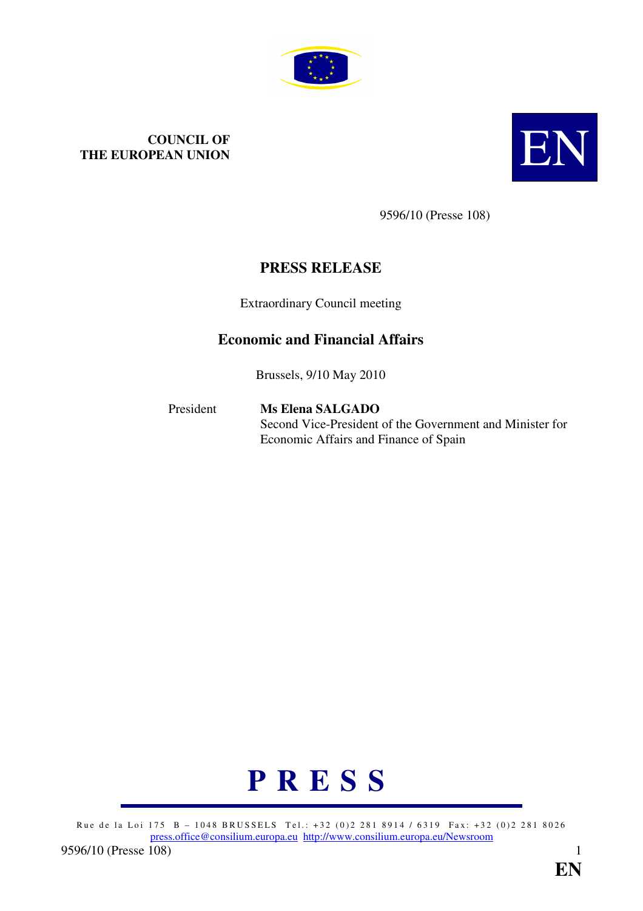

# **COUNCIL OF THE EUROPEAN UNION THE EUROPEAN UNION**



9596/10 (Presse 108)

# **PRESS RELEASE**

Extraordinary Council meeting

# **Economic and Financial Affairs**

Brussels, 9/10 May 2010

### President **Ms Elena SALGADO** Second Vice-President of the Government and Minister for Economic Affairs and Finance of Spain



Rue de la Loi 175 B - 1048 BRUSSELS Tel.: +32 (0)2 281 8914 / 6319 Fax: +32 (0)2 281 8026 press.office@consilium.europa.eu http://www.consilium.europa.eu/Newsroom 9596/10 (Presse [108\)](mailto:press.office@consilium.europa.eu) 1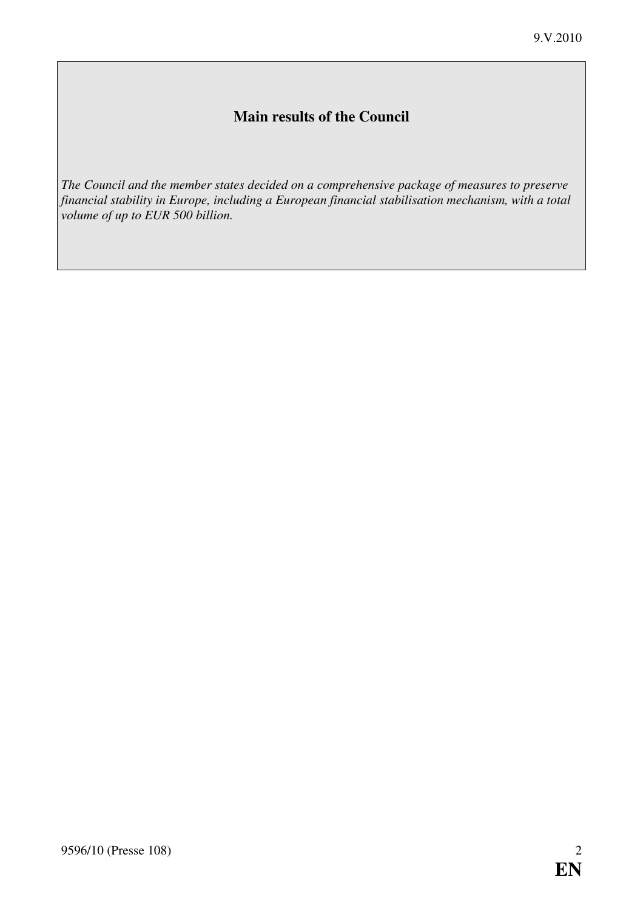# **Main results of the Council**

*The Council and the member states decided on a comprehensive package of measures to preserve financial stability in Europe, including a European financial stabilisation mechanism, with a total volume of up to EUR 500 billion.*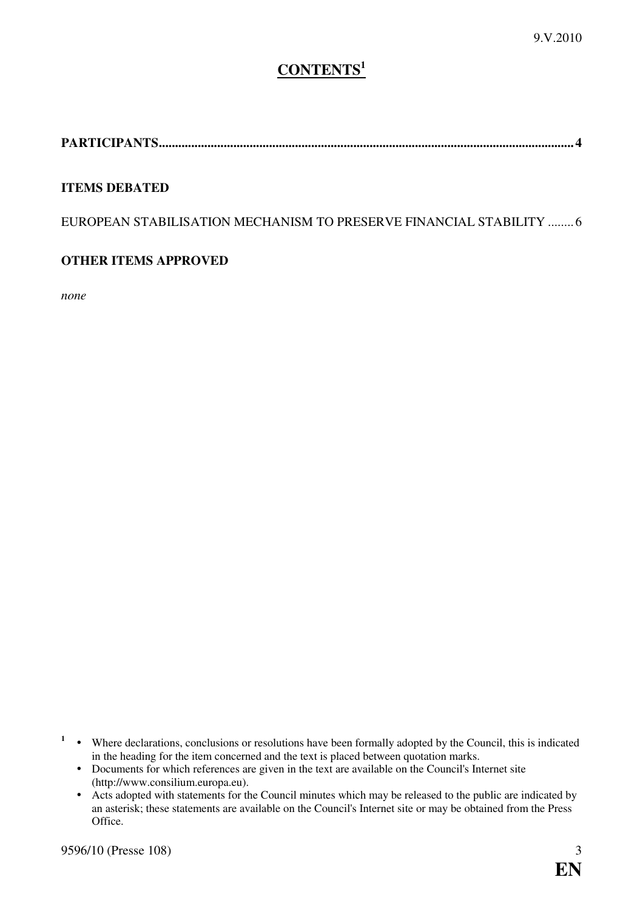# **CONTENTS<sup>1</sup>**

**PARTICIPANTS................................................................................................................................ [4](#page-3-0)** 

#### **ITEMS DEBATED**

EUROPEAN STABILISATION MECHANISM TO PRESERVE FINANCIAL STABILITY ........ [6](#page-5-0) 

### **OTHER ITEMS APPROVED**

*none* 

- <sup>1</sup> Where declarations, conclusions or resolutions have been formally adopted by the Council, this is indicated in the heading for the item concerned and the text is placed between quotation marks.
- Documents for which references are given in the text are available on the Council's Internet site (http://www.consilium.europa.eu).
	- $\bullet$  Acts adopted with statements for the Council minutes which may be released to the public are indicated by an asterisk; these statements are available on the Council's Internet site or may be obtained from the Press Office.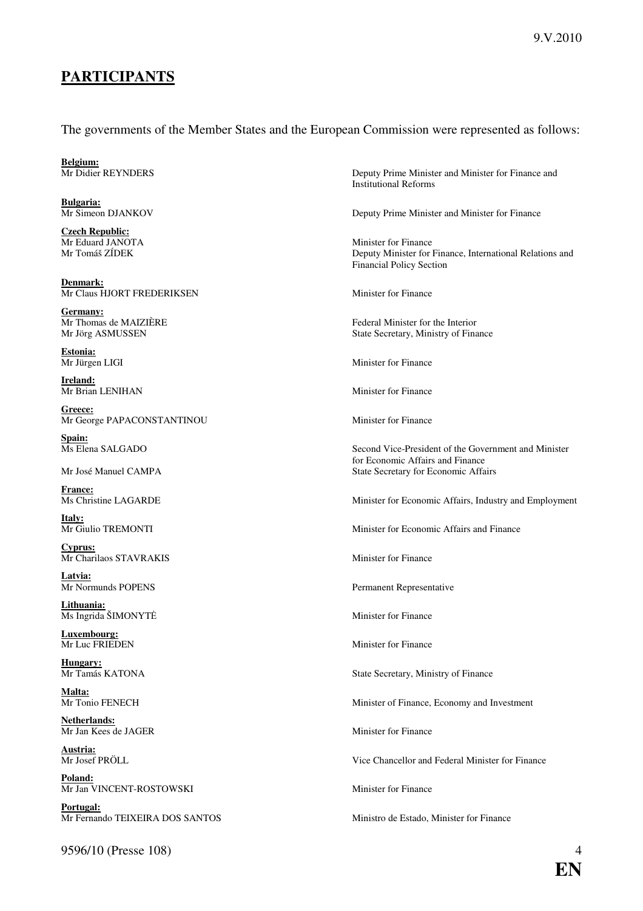# <span id="page-3-0"></span>**PARTICIPANTS**

#### The governments of the Member States and the European Commission were represented as follows:

**Belgium:**<br>Mr Didier REYNDERS

**Bulgaria:**<br>Mr Simeon DJANKOV

**Czech Republic:** Mr Eduard JANOTA Minister for Finance

**Denmark:** Mr Claus HJORT FREDERIKSEN Minister for Finance

**Germany:**<br>Mr Thomas de MAIZIÈRE

**Estonia:**<br>Mr Jürgen LIGI

**Ireland:** Mr Brian LENIHAN Minister for Finance

**Greece:** Mr George PAPACONSTANTINOU Minister for Finance

**Spain:**

**France:**

**Italy:**<br>Mr Giulio TREMONTI

**Cyprus:** Mr Charilaos STAVRAKIS Minister for Finance

**Latvia:** 

**Lithuania:**  $\overline{\text{Ms Ingrida}}$   $\text{SIMONTE}$  Minister for Finance

**Luxembourg:**

**Hungary:**

**Malta:**<br>Mr Tonio FENECH

**Netherlands:** Mr Jan Kees de JAGER Minister for Finance

**Austria:**<br>Mr Josef PRÖLL

**Poland:** Mr Jan VINCENT-ROSTOWSKI Minister for Finance

**Portugal:**<br>Mr Fernando TEIXEIRA DOS SANTOS

9596/10 (Presse 108) 4

Deputy Prime Minister and Minister for Finance and Institutional Reforms

Deputy Prime Minister and Minister for Finance

Mr Tomáš ZÍDEK Deputy Minister for Finance, International Relations and Financial Policy Section

Federal Minister for the Interior Mr Jörg ASMUSSEN State Secretary, Ministry of Finance

Minister for Finance

Ms Elena SALGADO Second Vice-President of the Government and Minister for Economic Affairs and Finance Mr José Manuel CAMPA  $\blacksquare$  State Secretary for Economic Affairs

Ms Christine LAGARDE Minister for Economic Affairs, Industry and Employment

Minister for Economic Affairs and Finance

Permanent Representative

Minister for Finance

State Secretary, Ministry of Finance

Minister of Finance, Economy and Investment

Vice Chancellor and Federal Minister for Finance

Ministro de Estado, Minister for Finance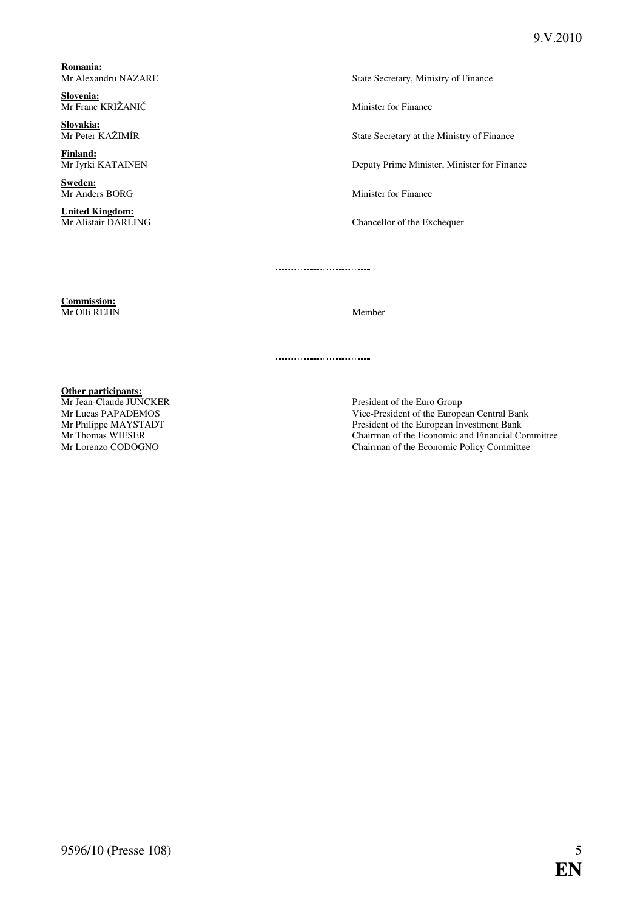**Romania:**

**Slovenia:** Mr Franc KRIŽANIČ Minister for Finance

**Slovakia:**

**Finland:**

**Sweden:**

**United Kingdom:**<br>Mr Alistair DARLING

State Secretary, Ministry of Finance

State Secretary at the Ministry of Finance

Deputy Prime Minister, Minister for Finance

Mr Anders BORG Minister for Finance

Chancellor of the Exchequer

**Commission:** Mr Olli REHN Member

**Other participants:**<br>Mr Jean-Claude JUNCKER

Mr Jean-Claude JUNCKER<br>
Mr Lucas PAPADEMOS<br>
President of the Europe<br>
President of the Europe Vice-President of the European Central Bank Mr Philippe MAYSTADT President of the European Investment Bank<br>Mr Thomas WIESER Chairman of the Economic and Financial Co Mr Thomas WIESER Chairman of the Economic and Financial Committee<br>Mr Lorenzo CODOGNO Chairman of the Economic Policy Committee Chairman of the Economic Policy Committee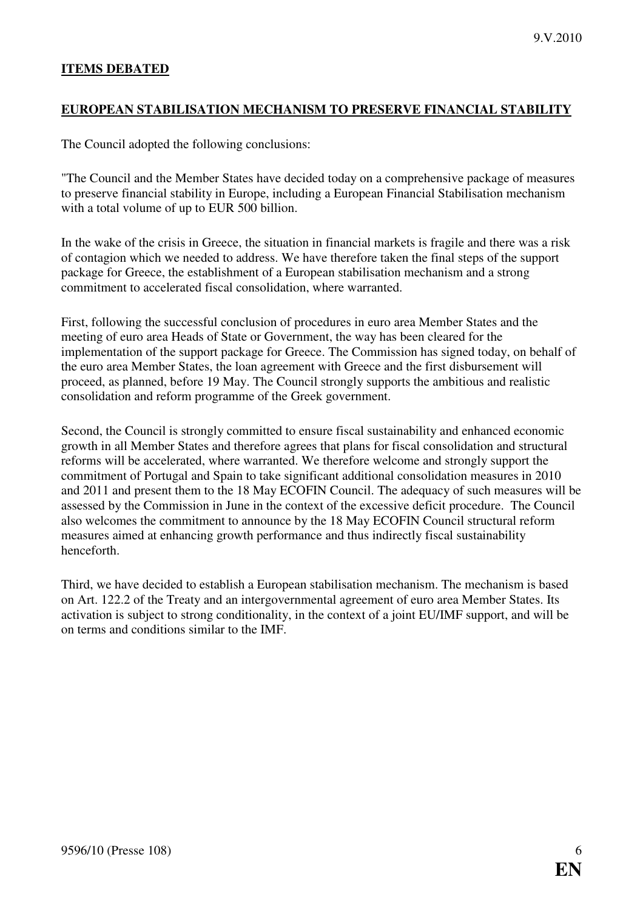#### <span id="page-5-0"></span>**ITEMS DEBATED**

#### **EUROPEAN STABILISATION MECHANISM TO PRESERVE FINANCIAL STABILITY**

The Council adopted the following conclusions:

"The Council and the Member States have decided today on a comprehensive package of measures to preserve financial stability in Europe, including a European Financial Stabilisation mechanism with a total volume of up to EUR 500 billion.

In the wake of the crisis in Greece, the situation in financial markets is fragile and there was a risk of contagion which we needed to address. We have therefore taken the final steps of the support package for Greece, the establishment of a European stabilisation mechanism and a strong commitment to accelerated fiscal consolidation, where warranted.

First, following the successful conclusion of procedures in euro area Member States and the meeting of euro area Heads of State or Government, the way has been cleared for the implementation of the support package for Greece. The Commission has signed today, on behalf of the euro area Member States, the loan agreement with Greece and the first disbursement will proceed, as planned, before 19 May. The Council strongly supports the ambitious and realistic consolidation and reform programme of the Greek government.

Second, the Council is strongly committed to ensure fiscal sustainability and enhanced economic growth in all Member States and therefore agrees that plans for fiscal consolidation and structural reforms will be accelerated, where warranted. We therefore welcome and strongly support the commitment of Portugal and Spain to take significant additional consolidation measures in 2010 and 2011 and present them to the 18 May ECOFIN Council. The adequacy of such measures will be assessed by the Commission in June in the context of the excessive deficit procedure. The Council also welcomes the commitment to announce by the 18 May ECOFIN Council structural reform measures aimed at enhancing growth performance and thus indirectly fiscal sustainability henceforth.

Third, we have decided to establish a European stabilisation mechanism. The mechanism is based on Art. 122.2 of the Treaty and an intergovernmental agreement of euro area Member States. Its activation is subject to strong conditionality, in the context of a joint EU/IMF support, and will be on terms and conditions similar to the IMF.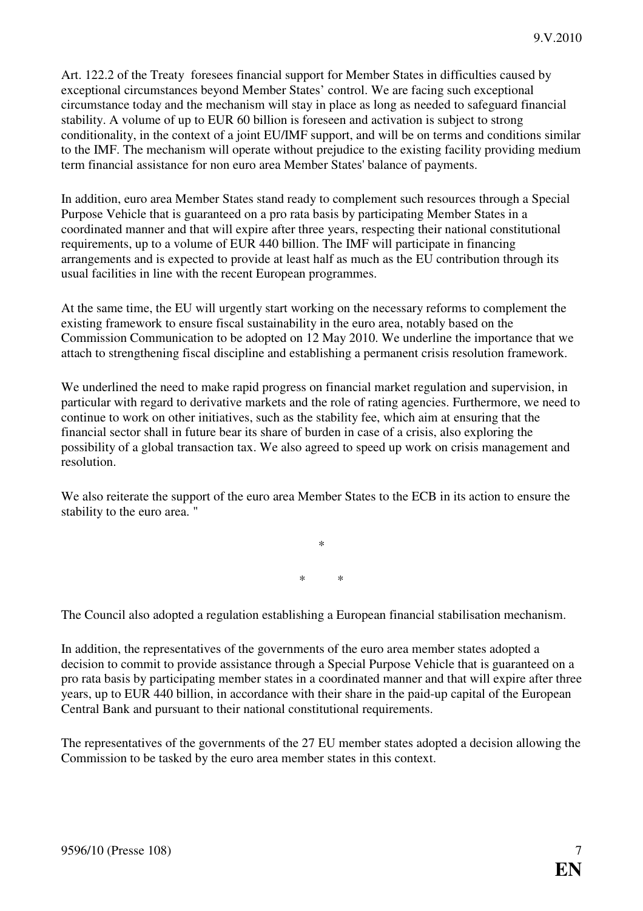Art. 122.2 of the Treaty foresees financial support for Member States in difficulties caused by exceptional circumstances beyond Member States' control. We are facing such exceptional circumstance today and the mechanism will stay in place as long as needed to safeguard financial stability. A volume of up to EUR 60 billion is foreseen and activation is subject to strong conditionality, in the context of a joint EU/IMF support, and will be on terms and conditions similar to the IMF. The mechanism will operate without prejudice to the existing facility providing medium term financial assistance for non euro area Member States' balance of payments.

In addition, euro area Member States stand ready to complement such resources through a Special Purpose Vehicle that is guaranteed on a pro rata basis by participating Member States in a coordinated manner and that will expire after three years, respecting their national constitutional requirements, up to a volume of EUR 440 billion. The IMF will participate in financing arrangements and is expected to provide at least half as much as the EU contribution through its usual facilities in line with the recent European programmes.

At the same time, the EU will urgently start working on the necessary reforms to complement the existing framework to ensure fiscal sustainability in the euro area, notably based on the Commission Communication to be adopted on 12 May 2010. We underline the importance that we attach to strengthening fiscal discipline and establishing a permanent crisis resolution framework.

We underlined the need to make rapid progress on financial market regulation and supervision, in particular with regard to derivative markets and the role of rating agencies. Furthermore, we need to continue to work on other initiatives, such as the stability fee, which aim at ensuring that the financial sector shall in future bear its share of burden in case of a crisis, also exploring the possibility of a global transaction tax. We also agreed to speed up work on crisis management and resolution.

We also reiterate the support of the euro area Member States to the ECB in its action to ensure the stability to the euro area. "

\* \*

\*

The Council also adopted a regulation establishing a European financial stabilisation mechanism.

In addition, the representatives of the governments of the euro area member states adopted a decision to commit to provide assistance through a Special Purpose Vehicle that is guaranteed on a pro rata basis by participating member states in a coordinated manner and that will expire after three years, up to EUR 440 billion, in accordance with their share in the paid-up capital of the European Central Bank and pursuant to their national constitutional requirements.

The representatives of the governments of the 27 EU member states adopted a decision allowing the Commission to be tasked by the euro area member states in this context.